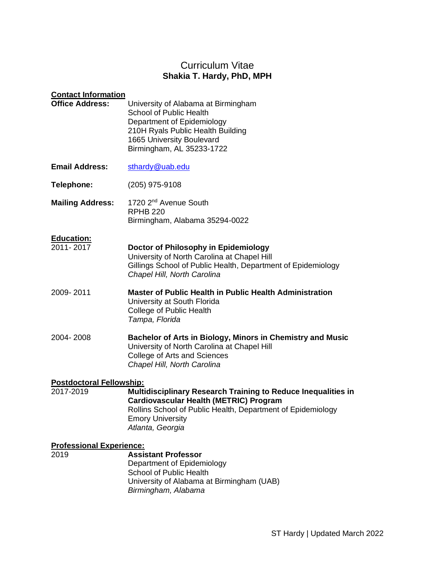# Curriculum Vitae **Shakia T. Hardy, PhD, MPH**

| <b>Contact Information</b><br><b>Office Address:</b> | University of Alabama at Birmingham<br><b>School of Public Health</b><br>Department of Epidemiology<br>210H Ryals Public Health Building                                                                                            |
|------------------------------------------------------|-------------------------------------------------------------------------------------------------------------------------------------------------------------------------------------------------------------------------------------|
|                                                      | 1665 University Boulevard<br>Birmingham, AL 35233-1722                                                                                                                                                                              |
| <b>Email Address:</b>                                | sthardy@uab.edu                                                                                                                                                                                                                     |
| Telephone:                                           | $(205)$ 975-9108                                                                                                                                                                                                                    |
| <b>Mailing Address:</b>                              | 1720 2 <sup>nd</sup> Avenue South<br><b>RPHB 220</b><br>Birmingham, Alabama 35294-0022                                                                                                                                              |
| <b>Education:</b><br>2011-2017                       | Doctor of Philosophy in Epidemiology<br>University of North Carolina at Chapel Hill<br>Gillings School of Public Health, Department of Epidemiology<br>Chapel Hill, North Carolina                                                  |
| 2009-2011                                            | <b>Master of Public Health in Public Health Administration</b><br>University at South Florida<br>College of Public Health<br>Tampa, Florida                                                                                         |
| 2004-2008                                            | Bachelor of Arts in Biology, Minors in Chemistry and Music<br>University of North Carolina at Chapel Hill<br>College of Arts and Sciences<br>Chapel Hill, North Carolina                                                            |
| <b>Postdoctoral Fellowship:</b><br>2017-2019         | <b>Multidisciplinary Research Training to Reduce Inequalities in</b><br><b>Cardiovascular Health (METRIC) Program</b><br>Rollins School of Public Health, Department of Epidemiology<br><b>Emory University</b><br>Atlanta, Georgia |
| <b>Professional Experience:</b><br>2019              | <b>Assistant Professor</b><br>Department of Epidemiology<br><b>School of Public Health</b><br>University of Alabama at Birmingham (UAB)<br>Birmingham, Alabama                                                                      |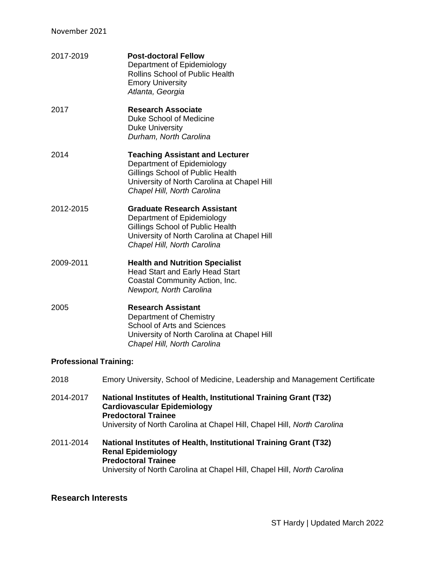| 2017-2019 | <b>Post-doctoral Fellow</b><br>Department of Epidemiology<br><b>Rollins School of Public Health</b><br><b>Emory University</b> |
|-----------|--------------------------------------------------------------------------------------------------------------------------------|
|           |                                                                                                                                |
|           | Atlanta, Georgia                                                                                                               |

- 2017 **Research Associate** Duke School of Medicine Duke University *Durham, North Carolina*
- 2014 **Teaching Assistant and Lecturer** Department of Epidemiology Gillings School of Public Health University of North Carolina at Chapel Hill *Chapel Hill, North Carolina*
- 2012-2015 **Graduate Research Assistant** Department of Epidemiology Gillings School of Public Health University of North Carolina at Chapel Hill *Chapel Hill, North Carolina*
- 2009-2011 **Health and Nutrition Specialist**  Head Start and Early Head Start Coastal Community Action, Inc. *Newport, North Carolina*
- 2005 **Research Assistant** Department of Chemistry School of Arts and Sciences University of North Carolina at Chapel Hill *Chapel Hill, North Carolina*

## **Professional Training:**

- 2018 Emory University, School of Medicine, Leadership and Management Certificate
- 2014-2017 **National Institutes of Health, Institutional Training Grant (T32) Cardiovascular Epidemiology Predoctoral Trainee** University of North Carolina at Chapel Hill, Chapel Hill, *North Carolina*
- 2011-2014 **National Institutes of Health, Institutional Training Grant (T32) Renal Epidemiology Predoctoral Trainee** University of North Carolina at Chapel Hill, Chapel Hill, *North Carolina*

## **Research Interests**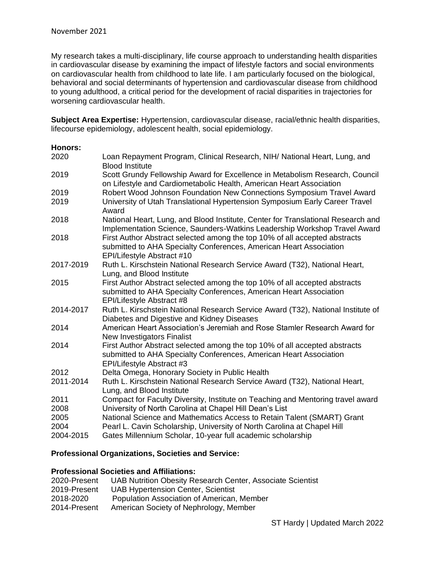My research takes a multi-disciplinary, life course approach to understanding health disparities in cardiovascular disease by examining the impact of lifestyle factors and social environments on cardiovascular health from childhood to late life. I am particularly focused on the biological, behavioral and social determinants of hypertension and cardiovascular disease from childhood to young adulthood, a critical period for the development of racial disparities in trajectories for worsening cardiovascular health.

**Subject Area Expertise:** Hypertension, cardiovascular disease, racial/ethnic health disparities, lifecourse epidemiology, adolescent health, social epidemiology.

### **Honors:**

| Loan Repayment Program, Clinical Research, NIH/ National Heart, Lung, and<br><b>Blood Institute</b>                                                                            |
|--------------------------------------------------------------------------------------------------------------------------------------------------------------------------------|
| Scott Grundy Fellowship Award for Excellence in Metabolism Research, Council<br>on Lifestyle and Cardiometabolic Health, American Heart Association                            |
| Robert Wood Johnson Foundation New Connections Symposium Travel Award                                                                                                          |
| University of Utah Translational Hypertension Symposium Early Career Travel<br>Award                                                                                           |
| National Heart, Lung, and Blood Institute, Center for Translational Research and<br>Implementation Science, Saunders-Watkins Leadership Workshop Travel Award                  |
| First Author Abstract selected among the top 10% of all accepted abstracts<br>submitted to AHA Specialty Conferences, American Heart Association<br>EPI/Lifestyle Abstract #10 |
| Ruth L. Kirschstein National Research Service Award (T32), National Heart,<br>Lung, and Blood Institute                                                                        |
| First Author Abstract selected among the top 10% of all accepted abstracts<br>submitted to AHA Specialty Conferences, American Heart Association<br>EPI/Lifestyle Abstract #8  |
| Ruth L. Kirschstein National Research Service Award (T32), National Institute of<br>Diabetes and Digestive and Kidney Diseases                                                 |
| American Heart Association's Jeremiah and Rose Stamler Research Award for<br>New Investigators Finalist                                                                        |
| First Author Abstract selected among the top 10% of all accepted abstracts<br>submitted to AHA Specialty Conferences, American Heart Association<br>EPI/Lifestyle Abstract #3  |
| Delta Omega, Honorary Society in Public Health                                                                                                                                 |
| Ruth L. Kirschstein National Research Service Award (T32), National Heart,<br>Lung, and Blood Institute                                                                        |
| Compact for Faculty Diversity, Institute on Teaching and Mentoring travel award                                                                                                |
| University of North Carolina at Chapel Hill Dean's List                                                                                                                        |
| National Science and Mathematics Access to Retain Talent (SMART) Grant                                                                                                         |
| Pearl L. Cavin Scholarship, University of North Carolina at Chapel Hill                                                                                                        |
| Gates Millennium Scholar, 10-year full academic scholarship                                                                                                                    |
|                                                                                                                                                                                |

## **Professional Organizations, Societies and Service:**

### **Professional Societies and Affiliations:**

| 2020-Present | UAB Nutrition Obesity Research Center, Associate Scientist |
|--------------|------------------------------------------------------------|
| 2019-Present | UAB Hypertension Center, Scientist                         |
| 2018-2020    | Population Association of American, Member                 |
| 2014-Present | American Society of Nephrology, Member                     |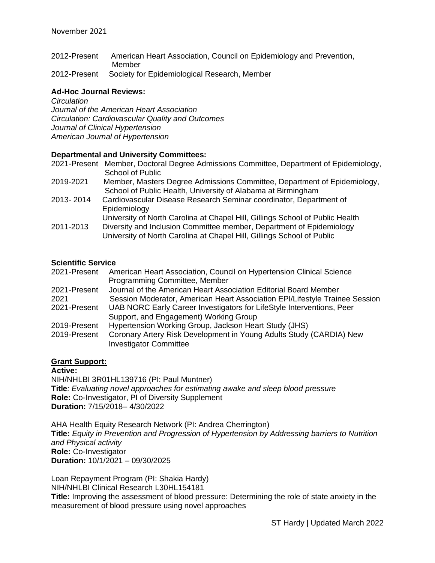- 2012-Present American Heart Association, Council on Epidemiology and Prevention, Member
- 2012-Present Society for Epidemiological Research, Member

## **Ad-Hoc Journal Reviews:**

*Circulation Journal of the American Heart Association Circulation: Cardiovascular Quality and Outcomes Journal of Clinical Hypertension American Journal of Hypertension*

## **Departmental and University Committees:**

|           | 2021-Present Member, Doctoral Degree Admissions Committee, Department of Epidemiology, |
|-----------|----------------------------------------------------------------------------------------|
|           | School of Public                                                                       |
| 2019-2021 | Member, Masters Degree Admissions Committee, Department of Epidemiology,               |
|           | School of Public Health, University of Alabama at Birmingham                           |
| 2013-2014 | Cardiovascular Disease Research Seminar coordinator, Department of                     |
|           | Epidemiology                                                                           |
|           | University of North Carolina at Chapel Hill, Gillings School of Public Health          |
| 2011-2013 | Diversity and Inclusion Committee member, Department of Epidemiology                   |
|           | University of North Carolina at Chapel Hill, Gillings School of Public                 |
|           |                                                                                        |

## **Scientific Service**

| 2021-Present | American Heart Association, Council on Hypertension Clinical Science        |
|--------------|-----------------------------------------------------------------------------|
|              | Programming Committee, Member                                               |
| 2021-Present | Journal of the American Heart Association Editorial Board Member            |
| 2021         | Session Moderator, American Heart Association EPI/Lifestyle Trainee Session |
| 2021-Present | UAB NORC Early Career Investigators for LifeStyle Interventions, Peer       |
|              | Support, and Engagement) Working Group                                      |
| 2019-Present | Hypertension Working Group, Jackson Heart Study (JHS)                       |
| 2019-Present | Coronary Artery Risk Development in Young Adults Study (CARDIA) New         |
|              | <b>Investigator Committee</b>                                               |

## **Grant Support:**

**Active:**  NIH/NHLBI 3R01HL139716 (PI: Paul Muntner) **Title***: Evaluating novel approaches for estimating awake and sleep blood pressure* **Role:** Co-Investigator, PI of Diversity Supplement **Duration:** 7/15/2018– 4/30/2022

AHA Health Equity Research Network (PI: Andrea Cherrington) **Title:** *Equity in Prevention and Progression of Hypertension by Addressing barriers to Nutrition and Physical activity* **Role:** Co-Investigator **Duration:** 10/1/2021 – 09/30/2025

Loan Repayment Program (PI: Shakia Hardy) NIH/NHLBI Clinical Research L30HL154181 **Title:** Improving the assessment of blood pressure: Determining the role of state anxiety in the measurement of blood pressure using novel approaches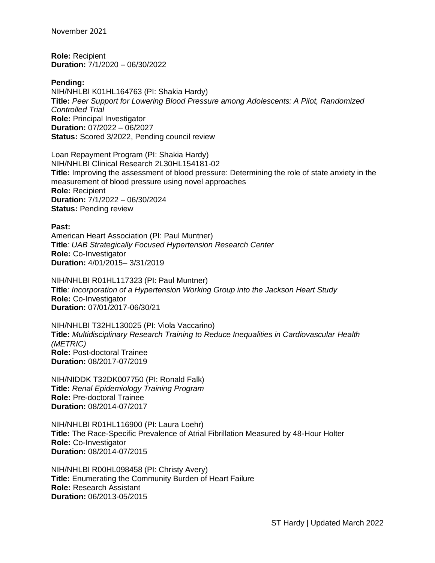November 2021

**Role:** Recipient **Duration:** 7/1/2020 – 06/30/2022

#### **Pending:**

NIH/NHLBI K01HL164763 (PI: Shakia Hardy) **Title:** *Peer Support for Lowering Blood Pressure among Adolescents: A Pilot, Randomized Controlled Trial* **Role:** Principal Investigator **Duration:** 07/2022 – 06/2027 **Status:** Scored 3/2022, Pending council review

Loan Repayment Program (PI: Shakia Hardy) NIH/NHLBI Clinical Research 2L30HL154181-02 **Title:** Improving the assessment of blood pressure: Determining the role of state anxiety in the measurement of blood pressure using novel approaches **Role:** Recipient **Duration:** 7/1/2022 – 06/30/2024 **Status:** Pending review

**Past:**  American Heart Association (PI: Paul Muntner) **Title***: UAB Strategically Focused Hypertension Research Center* **Role:** Co-Investigator **Duration:** 4/01/2015– 3/31/2019

NIH/NHLBI R01HL117323 (PI: Paul Muntner) **Title***: Incorporation of a Hypertension Working Group into the Jackson Heart Study*  **Role:** Co-Investigator **Duration:** 07/01/2017-06/30/21

NIH/NHLBI T32HL130025 (PI: Viola Vaccarino) **Title:** *Multidisciplinary Research Training to Reduce Inequalities in Cardiovascular Health (METRIC)*  **Role:** Post-doctoral Trainee **Duration:** 08/2017-07/2019

NIH/NIDDK T32DK007750 (PI: Ronald Falk) **Title:** *Renal Epidemiology Training Program* **Role:** Pre-doctoral Trainee **Duration:** 08/2014-07/2017

NIH/NHLBI R01HL116900 (PI: Laura Loehr) **Title:** The Race-Specific Prevalence of Atrial Fibrillation Measured by 48-Hour Holter **Role:** Co-Investigator **Duration:** 08/2014-07/2015

NIH/NHLBI R00HL098458 (PI: Christy Avery) **Title:** Enumerating the Community Burden of Heart Failure **Role:** Research Assistant **Duration:** 06/2013-05/2015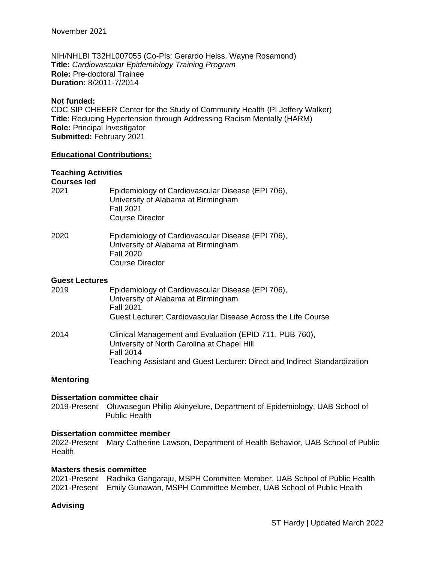NIH/NHLBI T32HL007055 (Co-PIs: Gerardo Heiss, Wayne Rosamond) **Title:** *Cardiovascular Epidemiology Training Program* **Role:** Pre-doctoral Trainee **Duration:** 8/2011-7/2014

#### **Not funded:**

CDC SIP CHEEER Center for the Study of Community Health (PI Jeffery Walker) **Title**: Reducing Hypertension through Addressing Racism Mentally (HARM) **Role:** Principal Investigator **Submitted:** February 2021

#### **Educational Contributions:**

### **Teaching Activities**

**Courses led**

| 2021 | Epidemiology of Cardiovascular Disease (EPI 706), |
|------|---------------------------------------------------|
|      | University of Alabama at Birmingham               |
|      | <b>Fall 2021</b>                                  |
|      | Course Director                                   |
|      |                                                   |

| 2020 | Epidemiology of Cardiovascular Disease (EPI 706), |
|------|---------------------------------------------------|
|      | University of Alabama at Birmingham               |
|      | <b>Fall 2020</b>                                  |
|      | Course Director                                   |

#### **Guest Lectures**

| 2019 | Epidemiology of Cardiovascular Disease (EPI 706),<br>University of Alabama at Birmingham<br><b>Fall 2021</b><br>Guest Lecturer: Cardiovascular Disease Across the Life Course                            |
|------|----------------------------------------------------------------------------------------------------------------------------------------------------------------------------------------------------------|
| 2014 | Clinical Management and Evaluation (EPID 711, PUB 760),<br>University of North Carolina at Chapel Hill<br><b>Fall 2014</b><br>Teaching Assistant and Guest Lecturer: Direct and Indirect Standardization |

#### **Mentoring**

#### **Dissertation committee chair**

2019-Present Oluwasegun Philip Akinyelure, Department of Epidemiology, UAB School of Public Health

#### **Dissertation committee member**

2022-Present Mary Catherine Lawson, Department of Health Behavior, UAB School of Public **Health** 

#### **Masters thesis committee**

```
2021-Present Radhika Gangaraju, MSPH Committee Member, UAB School of Public Health
2021-Present Emily Gunawan, MSPH Committee Member, UAB School of Public Health
```
#### **Advising**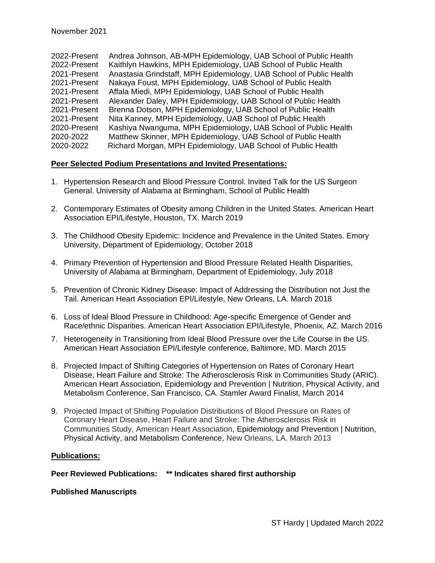2022-Present Andrea Johnson, AB-MPH Epidemiology, UAB School of Public Health 2022-Present Kaithlyn Hawkins, MPH Epidemiology, UAB School of Public Health 2021-Present Anastasia Grindstaff, MPH Epidemiology, UAB School of Public Health 2021-Present Nakaya Foust, MPH Epidemiology, UAB School of Public Health 2021-Present Affala Miedi, MPH Epidemiology, UAB School of Public Health 2021-Present Alexander Daley, MPH Epidemiology, UAB School of Public Health 2021-Present Brenna Dotson, MPH Epidemiology, UAB School of Public Health 2021-Present Nita Kanney, MPH Epidemiology, UAB School of Public Health 2020-Present Kashiya Nwanguma, MPH Epidemiology, UAB School of Public Health 2020-2022 Matthew Skinner, MPH Epidemiology, UAB School of Public Health 2020-2022 Richard Morgan, MPH Epidemiology, UAB School of Public Health

## **Peer Selected Podium Presentations and Invited Presentations:**

- 1. Hypertension Research and Blood Pressure Control. Invited Talk for the US Surgeon General. University of Alabama at Birmingham, School of Public Health
- 2. Contemporary Estimates of Obesity among Children in the United States. American Heart Association EPI/Lifestyle, Houston, TX. March 2019
- 3. The Childhood Obesity Epidemic: Incidence and Prevalence in the United States. Emory University, Department of Epidemiology, October 2018
- 4. Primary Prevention of Hypertension and Blood Pressure Related Health Disparities, University of Alabama at Birmingham, Department of Epidemiology, July 2018
- 5. Prevention of Chronic Kidney Disease: Impact of Addressing the Distribution not Just the Tail. American Heart Association EPI/Lifestyle, New Orleans, LA. March 2018
- 6. Loss of Ideal Blood Pressure in Childhood: Age-specific Emergence of Gender and Race/ethnic Disparities. American Heart Association EPI/Lifestyle, Phoenix, AZ. March 2016
- 7. Heterogeneity in Transitioning from Ideal Blood Pressure over the Life Course in the US. American Heart Association EPI/Lifestyle conference, Baltimore, MD. March 2015
- 8. Projected Impact of Shifting Categories of Hypertension on Rates of Coronary Heart Disease, Heart Failure and Stroke: The Atherosclerosis Risk in Communities Study (ARIC). American Heart Association, Epidemiology and Prevention | Nutrition, Physical Activity, and Metabolism Conference, San Francisco, CA. Stamler Award Finalist, March 2014
- 9. Projected Impact of Shifting Population Distributions of Blood Pressure on Rates of Coronary Heart Disease, Heart Failure and Stroke: The Atherosclerosis Risk in Communities Study, American Heart Association, Epidemiology and Prevention | Nutrition, Physical Activity, and Metabolism Conference, New Orleans, LA. March 2013

### **Publications:**

**Peer Reviewed Publications: \*\* Indicates shared first authorship**

#### **Published Manuscripts**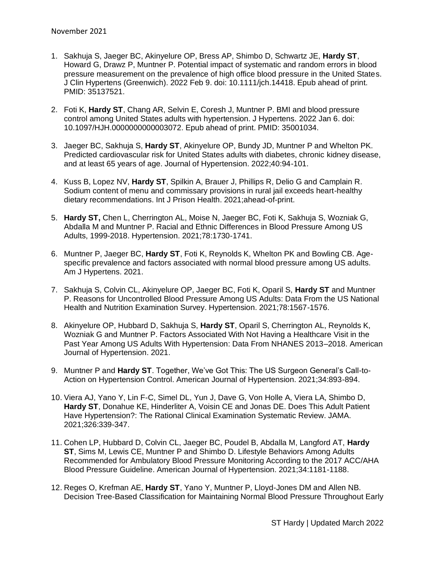- 1. Sakhuja S, Jaeger BC, Akinyelure OP, Bress AP, Shimbo D, Schwartz JE, **Hardy ST**, Howard G, Drawz P, Muntner P. Potential impact of systematic and random errors in blood pressure measurement on the prevalence of high office blood pressure in the United States. J Clin Hypertens (Greenwich). 2022 Feb 9. doi: 10.1111/jch.14418. Epub ahead of print. PMID: 35137521.
- 2. Foti K, **Hardy ST**, Chang AR, Selvin E, Coresh J, Muntner P. BMI and blood pressure control among United States adults with hypertension. J Hypertens. 2022 Jan 6. doi: 10.1097/HJH.0000000000003072. Epub ahead of print. PMID: 35001034.
- 3. Jaeger BC, Sakhuja S, **Hardy ST**, Akinyelure OP, Bundy JD, Muntner P and Whelton PK. Predicted cardiovascular risk for United States adults with diabetes, chronic kidney disease, and at least 65 years of age. Journal of Hypertension. 2022;40:94-101.
- 4. Kuss B, Lopez NV, **Hardy ST**, Spilkin A, Brauer J, Phillips R, Delio G and Camplain R. Sodium content of menu and commissary provisions in rural jail exceeds heart-healthy dietary recommendations. Int J Prison Health. 2021;ahead-of-print.
- 5. **Hardy ST,** Chen L, Cherrington AL, Moise N, Jaeger BC, Foti K, Sakhuja S, Wozniak G, Abdalla M and Muntner P. Racial and Ethnic Differences in Blood Pressure Among US Adults, 1999-2018. Hypertension. 2021;78:1730-1741.
- 6. Muntner P, Jaeger BC, **Hardy ST**, Foti K, Reynolds K, Whelton PK and Bowling CB. Agespecific prevalence and factors associated with normal blood pressure among US adults. Am J Hypertens. 2021.
- 7. Sakhuja S, Colvin CL, Akinyelure OP, Jaeger BC, Foti K, Oparil S, **Hardy ST** and Muntner P. Reasons for Uncontrolled Blood Pressure Among US Adults: Data From the US National Health and Nutrition Examination Survey. Hypertension. 2021;78:1567-1576.
- 8. Akinyelure OP, Hubbard D, Sakhuja S, **Hardy ST**, Oparil S, Cherrington AL, Reynolds K, Wozniak G and Muntner P. Factors Associated With Not Having a Healthcare Visit in the Past Year Among US Adults With Hypertension: Data From NHANES 2013–2018. American Journal of Hypertension. 2021.
- 9. Muntner P and **Hardy ST**. Together, We've Got This: The US Surgeon General's Call-to-Action on Hypertension Control. American Journal of Hypertension. 2021;34:893-894.
- 10. Viera AJ, Yano Y, Lin F-C, Simel DL, Yun J, Dave G, Von Holle A, Viera LA, Shimbo D, **Hardy ST**, Donahue KE, Hinderliter A, Voisin CE and Jonas DE. Does This Adult Patient Have Hypertension?: The Rational Clinical Examination Systematic Review. JAMA. 2021;326:339-347.
- 11. Cohen LP, Hubbard D, Colvin CL, Jaeger BC, Poudel B, Abdalla M, Langford AT, **Hardy ST**, Sims M, Lewis CE, Muntner P and Shimbo D. Lifestyle Behaviors Among Adults Recommended for Ambulatory Blood Pressure Monitoring According to the 2017 ACC/AHA Blood Pressure Guideline. American Journal of Hypertension. 2021;34:1181-1188.
- 12. Reges O, Krefman AE, **Hardy ST**, Yano Y, Muntner P, Lloyd-Jones DM and Allen NB. Decision Tree-Based Classification for Maintaining Normal Blood Pressure Throughout Early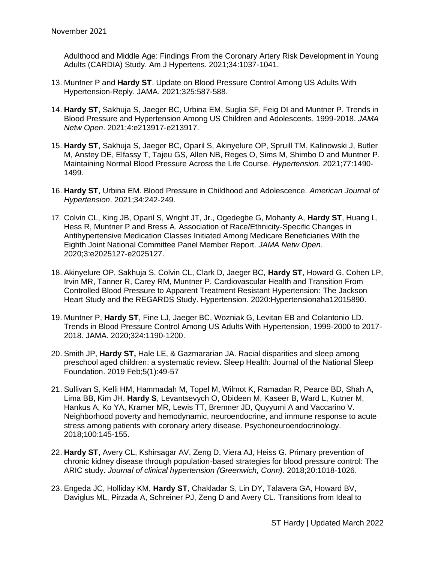Adulthood and Middle Age: Findings From the Coronary Artery Risk Development in Young Adults (CARDIA) Study. Am J Hypertens. 2021;34:1037-1041.

- 13. Muntner P and **Hardy ST**. Update on Blood Pressure Control Among US Adults With Hypertension-Reply. JAMA. 2021;325:587-588.
- 14. **Hardy ST**, Sakhuja S, Jaeger BC, Urbina EM, Suglia SF, Feig DI and Muntner P. Trends in Blood Pressure and Hypertension Among US Children and Adolescents, 1999-2018. *JAMA Netw Open*. 2021;4:e213917-e213917.
- 15. **Hardy ST**, Sakhuja S, Jaeger BC, Oparil S, Akinyelure OP, Spruill TM, Kalinowski J, Butler M, Anstey DE, Elfassy T, Tajeu GS, Allen NB, Reges O, Sims M, Shimbo D and Muntner P. Maintaining Normal Blood Pressure Across the Life Course. *Hypertension*. 2021;77:1490- 1499.
- 16. **Hardy ST**, Urbina EM. Blood Pressure in Childhood and Adolescence. *American Journal of Hypertension*. 2021;34:242-249.
- 17. Colvin CL, King JB, Oparil S, Wright JT, Jr., Ogedegbe G, Mohanty A, **Hardy ST**, Huang L, Hess R, Muntner P and Bress A. Association of Race/Ethnicity-Specific Changes in Antihypertensive Medication Classes Initiated Among Medicare Beneficiaries With the Eighth Joint National Committee Panel Member Report. *JAMA Netw Open*. 2020;3:e2025127-e2025127.
- 18. Akinyelure OP, Sakhuja S, Colvin CL, Clark D, Jaeger BC, **Hardy ST**, Howard G, Cohen LP, Irvin MR, Tanner R, Carey RM, Muntner P. Cardiovascular Health and Transition From Controlled Blood Pressure to Apparent Treatment Resistant Hypertension: The Jackson Heart Study and the REGARDS Study. Hypertension. 2020:Hypertensionaha12015890.
- 19. Muntner P, **Hardy ST**, Fine LJ, Jaeger BC, Wozniak G, Levitan EB and Colantonio LD. Trends in Blood Pressure Control Among US Adults With Hypertension, 1999-2000 to 2017- 2018. JAMA. 2020;324:1190-1200.
- 20. Smith JP, **Hardy ST,** Hale LE, & Gazmararian JA. Racial disparities and sleep among preschool aged children: a systematic review. Sleep Health: Journal of the National Sleep Foundation. 2019 Feb;5(1):49-57
- 21. Sullivan S, Kelli HM, Hammadah M, Topel M, Wilmot K, Ramadan R, Pearce BD, Shah A, Lima BB, Kim JH, **Hardy S**, Levantsevych O, Obideen M, Kaseer B, Ward L, Kutner M, Hankus A, Ko YA, Kramer MR, Lewis TT, Bremner JD, Quyyumi A and Vaccarino V. Neighborhood poverty and hemodynamic, neuroendocrine, and immune response to acute stress among patients with coronary artery disease. Psychoneuroendocrinology. 2018;100:145-155.
- 22. **Hardy ST**, Avery CL, Kshirsagar AV, Zeng D, Viera AJ, Heiss G. Primary prevention of chronic kidney disease through population-based strategies for blood pressure control: The ARIC study. *Journal of clinical hypertension (Greenwich, Conn)*. 2018;20:1018-1026.
- 23. Engeda JC, Holliday KM, **Hardy ST**, Chakladar S, Lin DY, Talavera GA, Howard BV, Daviglus ML, Pirzada A, Schreiner PJ, Zeng D and Avery CL. Transitions from Ideal to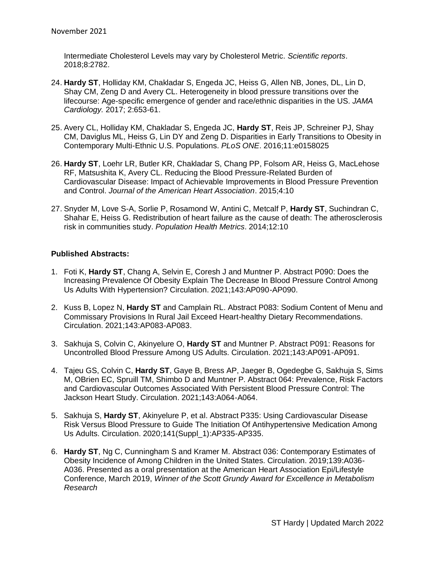Intermediate Cholesterol Levels may vary by Cholesterol Metric. *Scientific reports*. 2018;8:2782.

- 24. **Hardy ST**, Holliday KM, Chakladar S, Engeda JC, Heiss G, Allen NB, Jones, DL, Lin D, Shay CM, Zeng D and Avery CL. Heterogeneity in blood pressure transitions over the lifecourse: Age-specific emergence of gender and race/ethnic disparities in the US. *JAMA Cardiology.* 2017; 2:653-61.
- 25. Avery CL, Holliday KM, Chakladar S, Engeda JC, **Hardy ST**, Reis JP, Schreiner PJ, Shay CM, Daviglus ML, Heiss G, Lin DY and Zeng D. Disparities in Early Transitions to Obesity in Contemporary Multi-Ethnic U.S. Populations. *PLoS ONE*. 2016;11:e0158025
- 26. **Hardy ST**, Loehr LR, Butler KR, Chakladar S, Chang PP, Folsom AR, Heiss G, MacLehose RF, Matsushita K, Avery CL. Reducing the Blood Pressure-Related Burden of Cardiovascular Disease: Impact of Achievable Improvements in Blood Pressure Prevention and Control. *Journal of the American Heart Association*. 2015;4:10
- 27. Snyder M, Love S-A, Sorlie P, Rosamond W, Antini C, Metcalf P, **Hardy ST**, Suchindran C, Shahar E, Heiss G. Redistribution of heart failure as the cause of death: The atherosclerosis risk in communities study. *Population Health Metrics*. 2014;12:10

## **Published Abstracts:**

- 1. Foti K, **Hardy ST**, Chang A, Selvin E, Coresh J and Muntner P. Abstract P090: Does the Increasing Prevalence Of Obesity Explain The Decrease In Blood Pressure Control Among Us Adults With Hypertension? Circulation. 2021;143:AP090-AP090.
- 2. Kuss B, Lopez N, **Hardy ST** and Camplain RL. Abstract P083: Sodium Content of Menu and Commissary Provisions In Rural Jail Exceed Heart-healthy Dietary Recommendations. Circulation. 2021;143:AP083-AP083.
- 3. Sakhuja S, Colvin C, Akinyelure O, **Hardy ST** and Muntner P. Abstract P091: Reasons for Uncontrolled Blood Pressure Among US Adults. Circulation. 2021;143:AP091-AP091.
- 4. Tajeu GS, Colvin C, **Hardy ST**, Gaye B, Bress AP, Jaeger B, Ogedegbe G, Sakhuja S, Sims M, OBrien EC, Spruill TM, Shimbo D and Muntner P. Abstract 064: Prevalence, Risk Factors and Cardiovascular Outcomes Associated With Persistent Blood Pressure Control: The Jackson Heart Study. Circulation. 2021;143:A064-A064.
- 5. Sakhuja S, **Hardy ST**, Akinyelure P, et al. Abstract P335: Using Cardiovascular Disease Risk Versus Blood Pressure to Guide The Initiation Of Antihypertensive Medication Among Us Adults. Circulation. 2020;141(Suppl\_1):AP335-AP335.
- 6. **Hardy ST**, Ng C, Cunningham S and Kramer M. Abstract 036: Contemporary Estimates of Obesity Incidence of Among Children in the United States. Circulation. 2019;139:A036- A036. Presented as a oral presentation at the American Heart Association Epi/Lifestyle Conference, March 2019, *Winner of the Scott Grundy Award for Excellence in Metabolism Research*